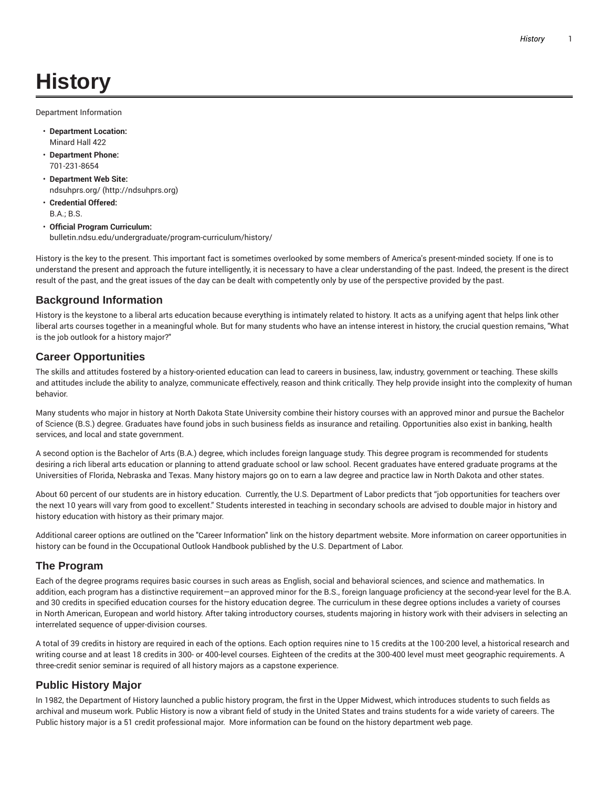# **History**

Department Information

- **Department Location:** Minard Hall 422
- **Department Phone:** 701-231-8654
- **Department Web Site:** ndsuhprs.org/ (http://ndsuhprs.org)
- **Credential Offered:** B.A.; B.S.
- **Official Program Curriculum:** bulletin.ndsu.edu/undergraduate/program-curriculum/history/

History is the key to the present. This important fact is sometimes overlooked by some members of America's present-minded society. If one is to understand the present and approach the future intelligently, it is necessary to have a clear understanding of the past. Indeed, the present is the direct result of the past, and the great issues of the day can be dealt with competently only by use of the perspective provided by the past.

#### **Background Information**

History is the keystone to a liberal arts education because everything is intimately related to history. It acts as a unifying agent that helps link other liberal arts courses together in a meaningful whole. But for many students who have an intense interest in history, the crucial question remains, "What is the job outlook for a history major?"

### **Career Opportunities**

The skills and attitudes fostered by a history-oriented education can lead to careers in business, law, industry, government or teaching. These skills and attitudes include the ability to analyze, communicate effectively, reason and think critically. They help provide insight into the complexity of human behavior.

Many students who major in history at North Dakota State University combine their history courses with an approved minor and pursue the Bachelor of Science (B.S.) degree. Graduates have found jobs in such business fields as insurance and retailing. Opportunities also exist in banking, health services, and local and state government.

A second option is the Bachelor of Arts (B.A.) degree, which includes foreign language study. This degree program is recommended for students desiring a rich liberal arts education or planning to attend graduate school or law school. Recent graduates have entered graduate programs at the Universities of Florida, Nebraska and Texas. Many history majors go on to earn a law degree and practice law in North Dakota and other states.

About 60 percent of our students are in history education. Currently, the U.S. Department of Labor predicts that "job opportunities for teachers over the next 10 years will vary from good to excellent." Students interested in teaching in secondary schools are advised to double major in history and history education with history as their primary major.

Additional career options are outlined on the "Career Information" link on the history department website. More information on career opportunities in history can be found in the Occupational Outlook Handbook published by the U.S. Department of Labor.

# **The Program**

Each of the degree programs requires basic courses in such areas as English, social and behavioral sciences, and science and mathematics. In addition, each program has a distinctive requirement—an approved minor for the B.S., foreign language proficiency at the second-year level for the B.A. and 30 credits in specified education courses for the history education degree. The curriculum in these degree options includes a variety of courses in North American, European and world history. After taking introductory courses, students majoring in history work with their advisers in selecting an interrelated sequence of upper-division courses.

A total of 39 credits in history are required in each of the options. Each option requires nine to 15 credits at the 100-200 level, a historical research and writing course and at least 18 credits in 300- or 400-level courses. Eighteen of the credits at the 300-400 level must meet geographic requirements. A three-credit senior seminar is required of all history majors as a capstone experience.

# **Public History Major**

In 1982, the Department of History launched a public history program, the first in the Upper Midwest, which introduces students to such fields as archival and museum work. Public History is now a vibrant field of study in the United States and trains students for a wide variety of careers. The Public history major is a 51 credit professional major. More information can be found on the history department web page.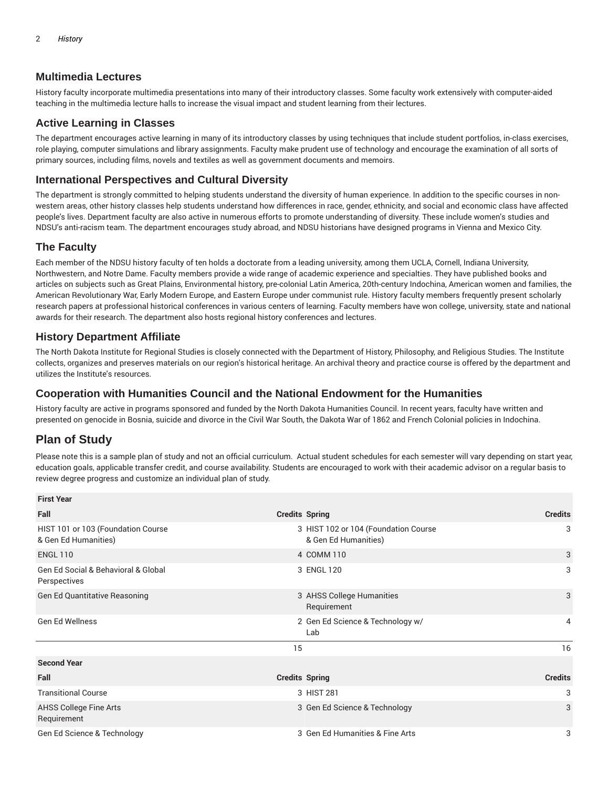### **Multimedia Lectures**

History faculty incorporate multimedia presentations into many of their introductory classes. Some faculty work extensively with computer-aided teaching in the multimedia lecture halls to increase the visual impact and student learning from their lectures.

## **Active Learning in Classes**

The department encourages active learning in many of its introductory classes by using techniques that include student portfolios, in-class exercises, role playing, computer simulations and library assignments. Faculty make prudent use of technology and encourage the examination of all sorts of primary sources, including films, novels and textiles as well as government documents and memoirs.

### **International Perspectives and Cultural Diversity**

The department is strongly committed to helping students understand the diversity of human experience. In addition to the specific courses in nonwestern areas, other history classes help students understand how differences in race, gender, ethnicity, and social and economic class have affected people's lives. Department faculty are also active in numerous efforts to promote understanding of diversity. These include women's studies and NDSU's anti-racism team. The department encourages study abroad, and NDSU historians have designed programs in Vienna and Mexico City.

#### **The Faculty**

Each member of the NDSU history faculty of ten holds a doctorate from a leading university, among them UCLA, Cornell, Indiana University, Northwestern, and Notre Dame. Faculty members provide a wide range of academic experience and specialties. They have published books and articles on subjects such as Great Plains, Environmental history, pre-colonial Latin America, 20th-century Indochina, American women and families, the American Revolutionary War, Early Modern Europe, and Eastern Europe under communist rule. History faculty members frequently present scholarly research papers at professional historical conferences in various centers of learning. Faculty members have won college, university, state and national awards for their research. The department also hosts regional history conferences and lectures.

### **History Department Affiliate**

The North Dakota Institute for Regional Studies is closely connected with the Department of History, Philosophy, and Religious Studies. The Institute collects, organizes and preserves materials on our region's historical heritage. An archival theory and practice course is offered by the department and utilizes the Institute's resources.

#### **Cooperation with Humanities Council and the National Endowment for the Humanities**

History faculty are active in programs sponsored and funded by the North Dakota Humanities Council. In recent years, faculty have written and presented on genocide in Bosnia, suicide and divorce in the Civil War South, the Dakota War of 1862 and French Colonial policies in Indochina.

# **Plan of Study**

Please note this is a sample plan of study and not an official curriculum. Actual student schedules for each semester will vary depending on start year, education goals, applicable transfer credit, and course availability. Students are encouraged to work with their academic advisor on a regular basis to review degree progress and customize an individual plan of study.

| <b>First Year</b>                                          |                                                              |                  |
|------------------------------------------------------------|--------------------------------------------------------------|------------------|
| Fall                                                       | <b>Credits Spring</b>                                        | <b>Credits</b>   |
| HIST 101 or 103 (Foundation Course<br>& Gen Ed Humanities) | 3 HIST 102 or 104 (Foundation Course<br>& Gen Ed Humanities) | 3<br>3<br>3<br>3 |
| <b>ENGL 110</b>                                            | 4 COMM 110                                                   |                  |
| Gen Ed Social & Behavioral & Global<br>Perspectives        | 3 ENGL 120                                                   |                  |
| Gen Ed Quantitative Reasoning                              | 3 AHSS College Humanities<br>Requirement                     |                  |
| <b>Gen Ed Wellness</b>                                     | 2 Gen Ed Science & Technology w/<br>Lab                      | 4                |
|                                                            | 15                                                           | 16               |
| <b>Second Year</b>                                         |                                                              |                  |
| Fall                                                       | <b>Credits Spring</b>                                        | <b>Credits</b>   |
| <b>Transitional Course</b>                                 | 3 HIST 281                                                   | 3                |
| AHSS College Fine Arts<br>Requirement                      | 3 Gen Ed Science & Technology                                | 3                |
| Gen Ed Science & Technology                                | 3 Gen Ed Humanities & Fine Arts                              | 3                |